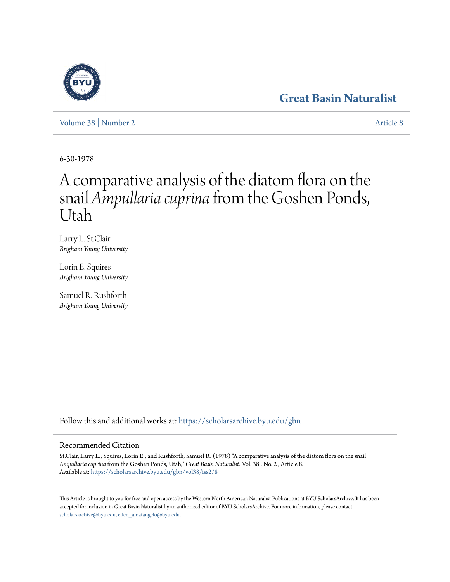## **[Great Basin Naturalist](https://scholarsarchive.byu.edu/gbn?utm_source=scholarsarchive.byu.edu%2Fgbn%2Fvol38%2Fiss2%2F8&utm_medium=PDF&utm_campaign=PDFCoverPages)**

[Volume 38](https://scholarsarchive.byu.edu/gbn/vol38?utm_source=scholarsarchive.byu.edu%2Fgbn%2Fvol38%2Fiss2%2F8&utm_medium=PDF&utm_campaign=PDFCoverPages) | [Number 2](https://scholarsarchive.byu.edu/gbn/vol38/iss2?utm_source=scholarsarchive.byu.edu%2Fgbn%2Fvol38%2Fiss2%2F8&utm_medium=PDF&utm_campaign=PDFCoverPages) [Article 8](https://scholarsarchive.byu.edu/gbn/vol38/iss2/8?utm_source=scholarsarchive.byu.edu%2Fgbn%2Fvol38%2Fiss2%2F8&utm_medium=PDF&utm_campaign=PDFCoverPages)

6-30-1978

# A comparative analysis of the diatom flora on the snail *Ampullaria cuprina*from the Goshen Ponds, Utah

Larry L. St.Clair *Brigham Young University*

Lorin E. Squires *Brigham Young University*

Samuel R. Rushforth *Brigham Young University*

Follow this and additional works at: [https://scholarsarchive.byu.edu/gbn](https://scholarsarchive.byu.edu/gbn?utm_source=scholarsarchive.byu.edu%2Fgbn%2Fvol38%2Fiss2%2F8&utm_medium=PDF&utm_campaign=PDFCoverPages)

### Recommended Citation

St.Clair, Larry L.; Squires, Lorin E.; and Rushforth, Samuel R. (1978) "A comparative analysis of the diatom flora on the snail *Ampullaria cuprina* from the Goshen Ponds, Utah," *Great Basin Naturalist*: Vol. 38 : No. 2 , Article 8. Available at: [https://scholarsarchive.byu.edu/gbn/vol38/iss2/8](https://scholarsarchive.byu.edu/gbn/vol38/iss2/8?utm_source=scholarsarchive.byu.edu%2Fgbn%2Fvol38%2Fiss2%2F8&utm_medium=PDF&utm_campaign=PDFCoverPages)

This Article is brought to you for free and open access by the Western North American Naturalist Publications at BYU ScholarsArchive. It has been accepted for inclusion in Great Basin Naturalist by an authorized editor of BYU ScholarsArchive. For more information, please contact [scholarsarchive@byu.edu, ellen\\_amatangelo@byu.edu.](mailto:scholarsarchive@byu.edu,%20ellen_amatangelo@byu.edu)

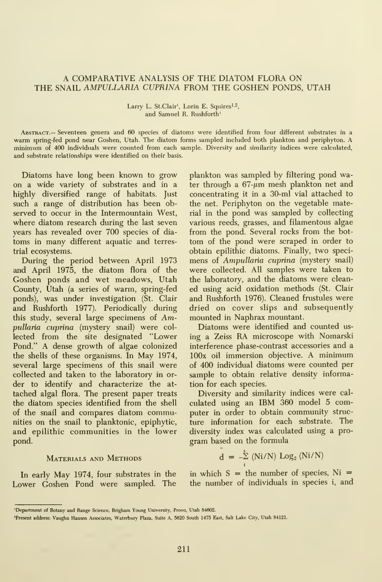#### A COMPARATIVE ANALYSIS OF THE DIATOM FLORA ON THE SNAIL AMPULLARIA CUPRINA FROM THE GOSHEN PONDS, UTAH

#### Larry L. St. Clair<sup>1</sup>, Lorin E. Squires<sup>1,2</sup>, and Samuel R. Rushforth'

Abstract.— Seventeen genera and 60 species of diatoms were identified from four different substrates in a warm spring-fed pond near Goshen, Utah. The diatom forms sampled included both plankton and periphyton. A minimum of 400 individuals were counted from each sample. Diversity and similarity indices were calculated, and substrate relationships were identified on their basis.

Diatoms have long been known to grow on a wide variety of substrates and in a highly diversified range of habitats. Just such a range of distribution has been observed to occur in the Intermountain West, where diatom research during the last seven years has revealed over 700 species of dia toms in many different aquatic and terrestrial ecosystems.

During the period between April 1973 and April 1975, the diatom flora of the Goshen ponds and wet meadows, Utah County, Utah (a series of warm, spring-fed ponds), was under investigation (St. Clair and Rushforth 1977). Periodically during this study, several large specimens of Ampullaria cuprina (mystery snail) were col lected from the site designated "Lower Pond." A dense growth of algae colonized the shells of these organisms. In May 1974, several large specimens of this snail were collected and taken to the laboratory in or der to identify and characterize the at tached algal flora. The present paper treats the diatom species identified from the shell of the snail and compares diatom communities on the snail to planktonic, epiphytic, and epilithic communities in the lower pond.

#### Materials and Methods

In early May 1974, four substrates in the Lower Goshen Pond were sampled. The

plankton was sampled by filtering pond water through a  $67-\mu m$  mesh plankton net and concentrating it in a 30-ml vial attached to the net. Periphyton on the vegetable material in the pond was sampled by collecting various reeds, grasses, and filamentous algae from the pond. Several rocks from the bot tom of the pond were scraped in order to obtain epilithic diatoms. Finally, two speci mens of Ampullaria cuprina (mystery snail) were collected. All samples were taken to the laboratory, and the diatoms were clean ed using acid oxidation methods (St. Clair and Rushforth 1976). Cleaned frustules were dried on cover slips and subsequently mounted in Naphrax mountant.

Diatoms were identified and counted us ing <sup>a</sup> Zeiss RA microscope with Nomarski interference phase-contrast accessories and a lOOx oil immersion objective. A minimum of 400 individual diatoms were counted per sample to obtain relative density information for each species.

Diversity and similarity indices were cal culated using an IBM 360 model 5 computer in order to obtain community struc ture information for each substrate. The diversity index was calculated using a pro gram based on the formula

$$
d = -\sum_{i}^{s} (Ni/N) Log_2 (Ni/N)
$$

in which  $S =$  the number of species,  $Ni =$ the number of individuals in species i, and

<sup>&#</sup>x27;Department of Botany and Range Science, Brigham Young University, Provo, Utah 84602.

<sup>&#</sup>x27;Present address: Vaughn Hansen Associates, Waterbury Plaza, Suite A, 5620 South 1475 East, Salt Lake City, Utah 84121.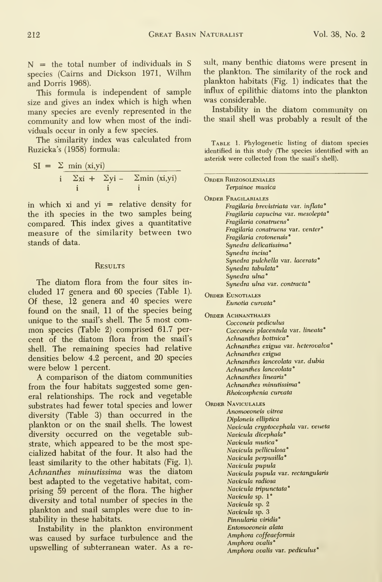$N =$  the total number of individuals in S species (Cairns and Dickson 1971, Wilhm and Dorris 1968).

This formula is independent of sample size and gives an index which is high when many species are evenly represented in the community and low when most of the indi viduals occur in only a few species.

The similarity index was calculated from Ruzicka's (1958) formula:

$$
SI = \sum \min_{\substack{i \\ i}} \frac{\langle x_i, y_i \rangle}{\sum x_i + \sum y_i - \sum \min_{i} \langle x_i, y_i \rangle}
$$

in which xi and  $yi$  = relative density for the ith species in the two samples being compared. This index gives a quantitative measure of the similarity between two stands of data.

#### **RESULTS**

The diatom flora from the four sites in cluded 17 genera and 60 species (Table 1). Of these, 12 genera and 40 species were found on the snail, 11 of the species being unique to the snail's shell. The 5 most com mon species (Table 2) comprised 61.7 per cent of the diatom flora from the snail's shell. The remaining species had relative densities below 4.2 percent, and 20 species were below 1 percent.

A comparison of the diatom communities from the four habitats suggested some general relationships. The rock and vegetable substrates had fewer total species and lower diversity (Table 3) than occurred in the plankton or on the snail shells. The lowest diversity occurred on the vegetable substrate, which appeared to be the most specialized habitat of the four. It also had the least similarity to the other habitats (Fig. 1), Achnanthes minutissima was the diatom best adapted to the vegetative habitat, comprising 59 percent of the flora. The higher diversity and total number of species in the plankton and snail samples were due to in stability in these habitats.

Instability in the plankton environment was caused by surface turbulence and the upswelling of subterranean water. As a result, many benthic diatoms were present in the plankton. The similarity of the rock and plankton habitats (Fig. 1) indicates that the influx of epilithic diatoms into the plankton was considerable.

Instability in the diatom community on the snail shell was probably a result of the

TABLE 1. Phylogenetic listing of diatom species identified in this study (The species identified with an asterisk were collected from the snail's shell).

| <b>ORDER RHIZOSOLENIALES</b><br>Terpsinoe musica |
|--------------------------------------------------|
|                                                  |
| <b>ORDER FRAGILARIALES</b>                       |
| Fragilaria brevistriata var. inflata°            |
| Fragilaria capucina var. mesolepta°              |
| Fragilaria construens <sup>®</sup>               |
| Fragilaria construens var. venter°               |
| Fragilaria crotonensis°                          |
| Synedra delicatissima°                           |
| Synedra incisa°                                  |
| Synedra pulchella var. lacerata°                 |
| Synedra tabulata°                                |
| Synedra ulna°                                    |
| Synedra ulna var. contracta <sup>°</sup>         |
|                                                  |
| <b>ORDER EUNOTIALES</b>                          |
| Eunotia curvata <sup>•</sup>                     |
| <b>ORDER ACHNANTHALES</b>                        |
| Cocconeis pediculus                              |
| Cocconeis placentula var. lineata°               |
| Achnanthes bottnica <sup>°</sup>                 |
| Achnanthes exigua var. heterovalva°              |
| Achnanthes exigua                                |
| Achnanthes lanceolata var. dubia                 |
| Achnanthes lanceolata <sup>•</sup>               |
| Achnanthes linearis <sup>°</sup>                 |
| Achnanthes minutissima <sup>°</sup>              |
| Rhoicosphenia curvata                            |
|                                                  |
| <b>ORDER NAVICULALES</b>                         |
| Anomoeoneis vitrea                               |
| Diploneis elliptica                              |
| Navicula cryptocephala var. veneta               |
| Navicula dicephala°                              |
| Navicula mutica <sup>°</sup>                     |
| Navicula pelliculosa <sup>®</sup>                |
| Navicula perpusilla <sup>°</sup>                 |
| Navicula pupula                                  |
| Navicula pupula var. rectangularis               |
| Navicula radiosa                                 |
| Navicula tripunctata <sup>®</sup>                |
| <i>Navicula</i> sp. 1°                           |
| Navicula sp. 2                                   |
| Navicula sp. 3                                   |
| Pinnularia viridis <sup>°</sup>                  |
| Entomoeoneis alata                               |
| Amphora coffeaeformis                            |
| Amphora ovalis <sup>°</sup>                      |
| Amphora ovalis var. pediculus <sup>®</sup>       |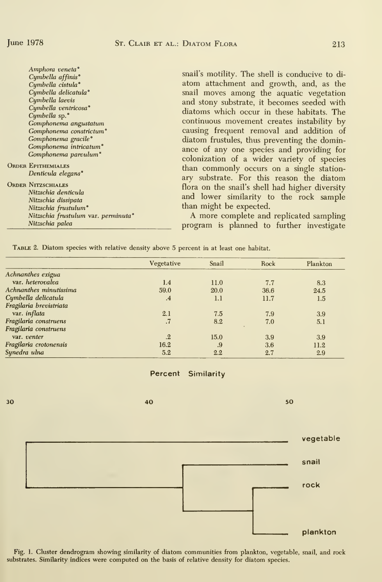| <b>ORDER EPITHEMIALES</b><br>ORDER NITZSCHIALES | Amphora veneta <sup>°</sup><br>Cymbella affinis <sup>°</sup><br>Cymbella cistula°<br>Cymbella delicatula°<br>Cymbella laevis<br>Cymbella ventricosa°<br>Cymbella sp. <sup>•</sup><br>Gomphonema angustatum<br>Gomphonema constrictum <sup>®</sup><br>Gomphonema gracile <sup>°</sup><br>Gomphonema intricatum <sup>®</sup><br>Gomphonema parvulum <sup>°</sup><br>Denticula elegans <sup>°</sup><br>Nitzschia denticula | snail's motility. The shell is conducive to di-<br>atom attachment and growth, and, as the<br>snail moves among the aquatic vegetation<br>and stony substrate, it becomes seeded with<br>diatoms which occur in these habitats. The<br>continuous movement creates instability by<br>causing frequent removal and addition of<br>diatom frustules, thus preventing the domin-<br>ance of any one species and providing for<br>colonization of a wider variety of species<br>than commonly occurs on a single station-<br>ary substrate. For this reason the diatom<br>flora on the snail's shell had higher diversity |
|-------------------------------------------------|-------------------------------------------------------------------------------------------------------------------------------------------------------------------------------------------------------------------------------------------------------------------------------------------------------------------------------------------------------------------------------------------------------------------------|-----------------------------------------------------------------------------------------------------------------------------------------------------------------------------------------------------------------------------------------------------------------------------------------------------------------------------------------------------------------------------------------------------------------------------------------------------------------------------------------------------------------------------------------------------------------------------------------------------------------------|
|                                                 | Nitzschia dissipata<br>Nitzschia frustulum <sup>o</sup>                                                                                                                                                                                                                                                                                                                                                                 | and lower similarity to the rock sample<br>than might be expected.                                                                                                                                                                                                                                                                                                                                                                                                                                                                                                                                                    |
|                                                 | Nitzschia frustulum var. perminuta°<br>Nitzschia palea                                                                                                                                                                                                                                                                                                                                                                  | A more complete and replicated sampling<br>program is planned to further investigate                                                                                                                                                                                                                                                                                                                                                                                                                                                                                                                                  |

|  |  | TABLE 2. Diatom species with relative density above 5 percent in at least one habitat. |  |  |  |  |  |  |  |  |
|--|--|----------------------------------------------------------------------------------------|--|--|--|--|--|--|--|--|
|--|--|----------------------------------------------------------------------------------------|--|--|--|--|--|--|--|--|

|                         | Vegetative | Snail | Rock | Plankton |
|-------------------------|------------|-------|------|----------|
| Achnanthes exigua       |            |       |      |          |
| var. heterovalva        | 1.4        | 11.0  | 7.7  | 8.3      |
| Achnanthes minutissima  | 59.0       | 20.0  | 36.6 | 24.5     |
| Cymbella delicatula     | $\cdot$ 4  | 1.1   | 11.7 | 1.5      |
| Fragilaria brevistriata |            |       |      |          |
| var. <i>inflata</i>     | 2.1        | 7.5   | 7.9  | 3.9      |
| Fragilaria construens   | $\cdot$ 7  | 8.2   | 7.0  | 5.1      |
| Fragilaria construens   |            |       |      |          |
| var. venter             | $\cdot$    | 15.0  | 3.9  | 3.9      |
| Fragilaria crotonensis  | 16.2       | .9    | 3.6  | 11.2     |
| Synedra ulna            | 5.2        | 2.2   | 2.7  | 2.9      |

#### Percent Similarity



Fig. 1. Cluster dendrogram showing similarity of diatom communities from plankton, vegetable, snail, and rock substrates. Similarity indices were computed on the basis of relative density for diatom species.